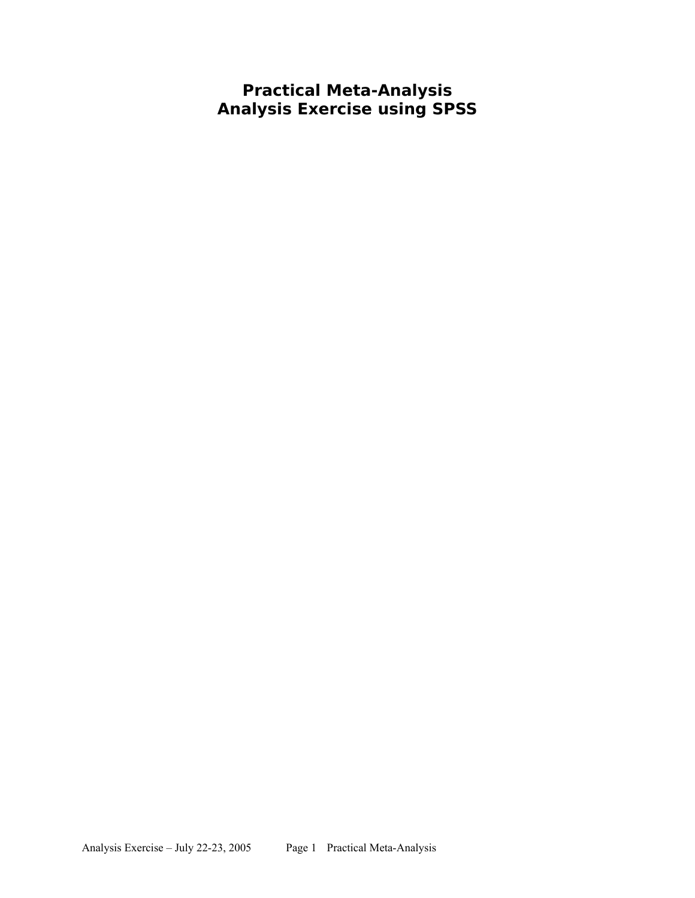**Practical Meta-Analysis Analysis Exercise using SPSS**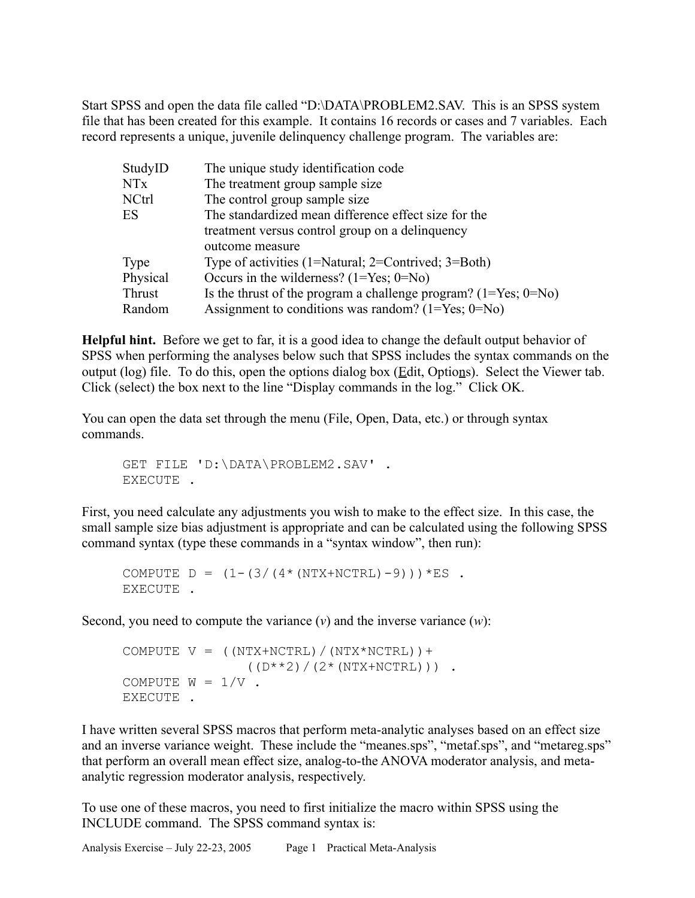Start SPSS and open the data file called "D:\DATA\PROBLEM2.SAV. This is an SPSS system file that has been created for this example. It contains 16 records or cases and 7 variables. Each record represents a unique, juvenile delinquency challenge program. The variables are:

| StudyID  | The unique study identification code                                  |  |
|----------|-----------------------------------------------------------------------|--|
| NTx      | The treatment group sample size                                       |  |
| NCtrl    | The control group sample size                                         |  |
| ES       | The standardized mean difference effect size for the                  |  |
|          | treatment versus control group on a delinquency                       |  |
|          | outcome measure                                                       |  |
| Type     | Type of activities $(1=Natural; 2=Control; 3=Both)$                   |  |
| Physical | Occurs in the wilderness? $(1 = Yes; 0 = No)$                         |  |
| Thrust   | Is the thrust of the program a challenge program? $(1 = Yes; 0 = No)$ |  |
| Random   | Assignment to conditions was random? $(1 = Yes; 0 = No)$              |  |

**Helpful hint.** Before we get to far, it is a good idea to change the default output behavior of SPSS when performing the analyses below such that SPSS includes the syntax commands on the output (log) file. To do this, open the options dialog box ( $E$ dit, Options). Select the Viewer tab. Click (select) the box next to the line "Display commands in the log." Click OK.

You can open the data set through the menu (File, Open, Data, etc.) or through syntax commands.

GET FILE 'D:\DATA\PROBLEM2.SAV' . EXECUTE .

First, you need calculate any adjustments you wish to make to the effect size. In this case, the small sample size bias adjustment is appropriate and can be calculated using the following SPSS command syntax (type these commands in a "syntax window", then run):

COMPUTE  $D = (1 - (3 / (4 * (NTX+NCTRL) - 9))) * ES$ . EXECUTE .

Second, you need to compute the variance  $(v)$  and the inverse variance  $(w)$ :

```
COMPUTE V = (NTX+NCTR) / (NTX*NCTR) ) +((D^{**}2)/(2*(NTX+NCTR))).
COMPUTE W = 1/V.
EXECUTE .
```
I have written several SPSS macros that perform meta-analytic analyses based on an effect size and an inverse variance weight. These include the "meanes.sps", "metaf.sps", and "metareg.sps" that perform an overall mean effect size, analog-to-the ANOVA moderator analysis, and metaanalytic regression moderator analysis, respectively.

To use one of these macros, you need to first initialize the macro within SPSS using the INCLUDE command. The SPSS command syntax is: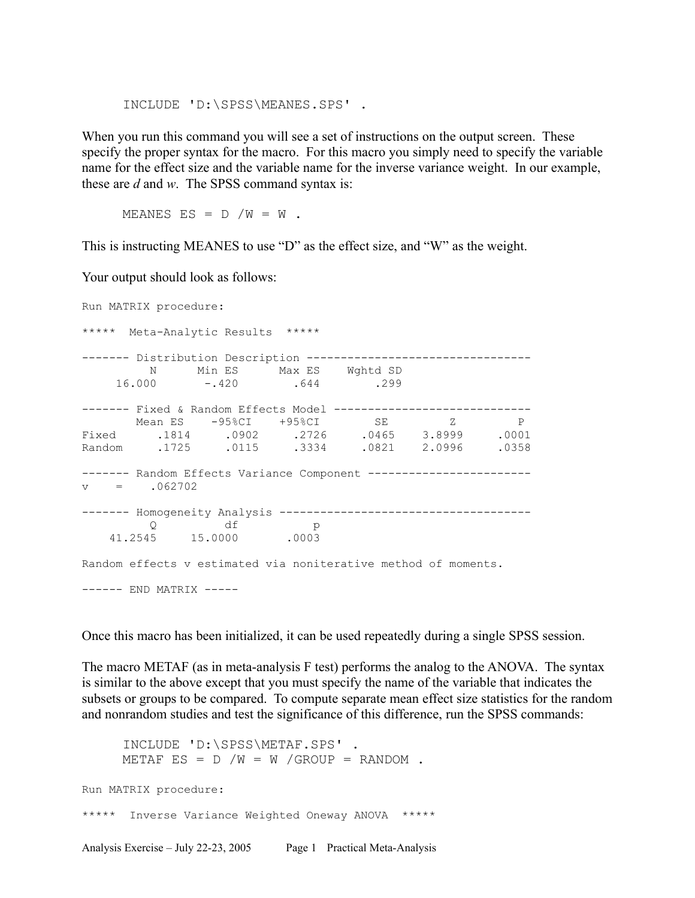INCLUDE 'D:\SPSS\MEANES.SPS' .

When you run this command you will see a set of instructions on the output screen. These specify the proper syntax for the macro. For this macro you simply need to specify the variable name for the effect size and the variable name for the inverse variance weight. In our example, these are *d* and *w*. The SPSS command syntax is:

MEANES ES =  $D / W = W$ .

This is instructing MEANES to use "D" as the effect size, and "W" as the weight.

Your output should look as follows:

Run MATRIX procedure: \*\*\*\*\* Meta-Analytic Results \*\*\*\*\* ------- Distribution Description --------------------------------- N Min ES Max ES Wghtd SD 16.000 -.420 .644 .299 ------- Fixed & Random Effects Model -----------------------------Mean ES -95%CI +95%CI SE Z P Fixed .1814 .0902 .2726 .0465 3.8999 .0001 Random .1725 .0115 .3334 .0821 2.0996 .0358 ------- Random Effects Variance Component ---------------------- $v = .062702$ ------- Homogeneity Analysis -------------------------------------  $Q$  df p<br>41.2545 15.0000 .0003 15.0000 .0003 Random effects v estimated via noniterative method of moments. ------ END MATRIX -----

Once this macro has been initialized, it can be used repeatedly during a single SPSS session.

The macro METAF (as in meta-analysis F test) performs the analog to the ANOVA. The syntax is similar to the above except that you must specify the name of the variable that indicates the subsets or groups to be compared. To compute separate mean effect size statistics for the random and nonrandom studies and test the significance of this difference, run the SPSS commands:

INCLUDE 'D:\SPSS\METAF.SPS' . METAF ES =  $D / W = W /$ GROUP = RANDOM. Run MATRIX procedure: \*\*\*\*\* Inverse Variance Weighted Oneway ANOVA \*\*\*\*\*

Analysis Exercise – July 22-23, 2005 Page 1 Practical Meta-Analysis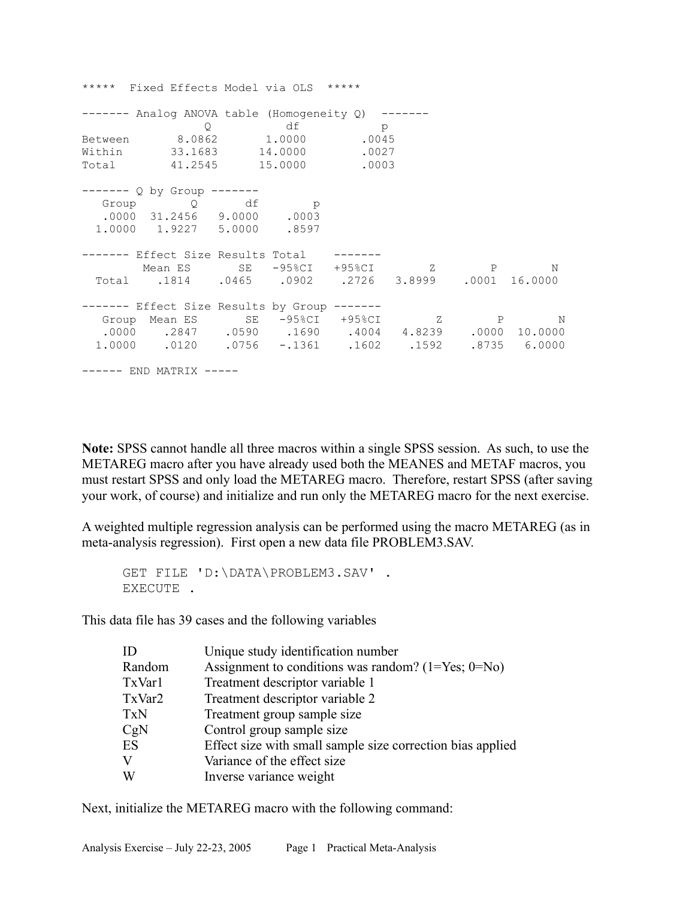\*\*\*\*\* Fixed Effects Model via OLS \*\*\*\*\* ------- Analog ANOVA table (Homogeneity Q) ------- Q df p Between 8.0862 1.0000 .0045 Within 33.1683 14.0000 .0027 Total 41.2545 15.0000 .0003 ------- Q by Group ------- Group Q df p .0000 31.2456 9.0000 .0003 1.0000 1.9227 5.0000 .8597 ------- Effect Size Results Total ------- Mean ES SE -95%CI +95%CI Z P N Total .1814 .0465 .0902 .2726 3.8999 .0001 16.0000 ------- Effect Size Results by Group ------- Group Mean ES SE -95%CI +95%CI Z P N .0000 .2847 .0590 .1690 .4004 4.8239 .0000 10.0000 1.0000 .0120 .0756 -.1361 .1602 .1592 .8735 6.0000 ------ END MATRIX -----

**Note:** SPSS cannot handle all three macros within a single SPSS session. As such, to use the METAREG macro after you have already used both the MEANES and METAF macros, you must restart SPSS and only load the METAREG macro. Therefore, restart SPSS (after saving your work, of course) and initialize and run only the METAREG macro for the next exercise.

A weighted multiple regression analysis can be performed using the macro METAREG (as in meta-analysis regression). First open a new data file PROBLEM3.SAV.

GET FILE 'D:\DATA\PROBLEM3.SAV' . EXECUTE .

This data file has 39 cases and the following variables

| ID     | Unique study identification number                         |
|--------|------------------------------------------------------------|
| Random | Assignment to conditions was random? $(1 = Yes; 0 = No)$   |
| TxVar1 | Treatment descriptor variable 1                            |
| TxVar2 | Treatment descriptor variable 2                            |
| TxN    | Treatment group sample size                                |
| CgN    | Control group sample size                                  |
| ES     | Effect size with small sample size correction bias applied |
| V      | Variance of the effect size                                |
| W      | Inverse variance weight                                    |

Next, initialize the METAREG macro with the following command: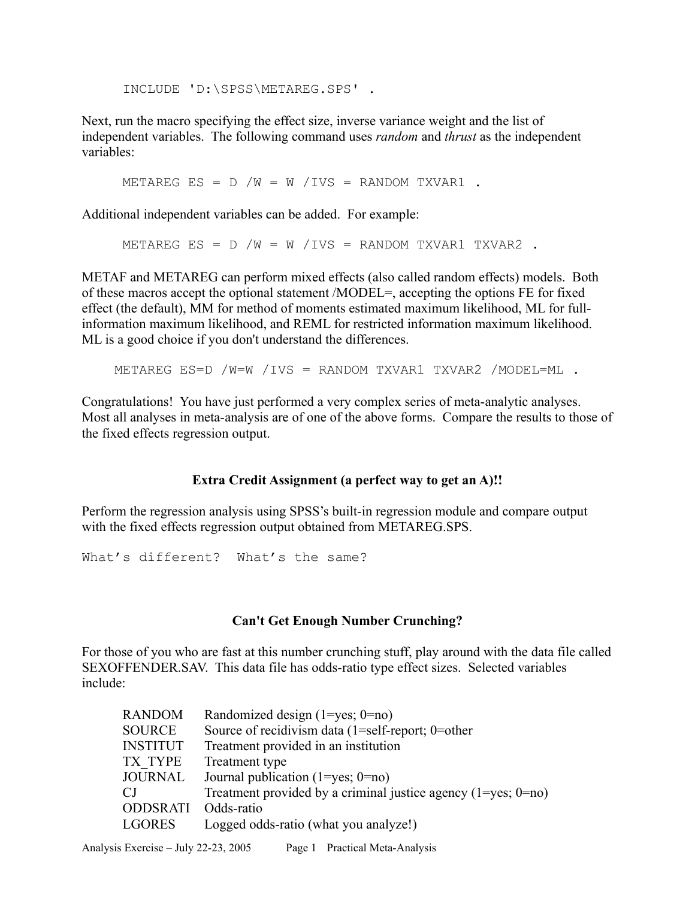INCLUDE 'D:\SPSS\METAREG.SPS' .

Next, run the macro specifying the effect size, inverse variance weight and the list of independent variables. The following command uses *random* and *thrust* as the independent variables:

METAREG ES =  $D / W = W / IVS =$  RANDOM TXVAR1.

Additional independent variables can be added. For example:

METAREG ES =  $D / W = W / IVS =$  RANDOM TXVAR1 TXVAR2.

METAF and METAREG can perform mixed effects (also called random effects) models. Both of these macros accept the optional statement /MODEL=, accepting the options FE for fixed effect (the default), MM for method of moments estimated maximum likelihood, ML for fullinformation maximum likelihood, and REML for restricted information maximum likelihood. ML is a good choice if you don't understand the differences.

METAREG ES=D /W=W /IVS = RANDOM TXVAR1 TXVAR2 /MODEL=ML .

Congratulations! You have just performed a very complex series of meta-analytic analyses. Most all analyses in meta-analysis are of one of the above forms. Compare the results to those of the fixed effects regression output.

## **Extra Credit Assignment (a perfect way to get an A)!!**

Perform the regression analysis using SPSS's built-in regression module and compare output with the fixed effects regression output obtained from METAREG.SPS.

What's different? What's the same?

## **Can't Get Enough Number Crunching?**

For those of you who are fast at this number crunching stuff, play around with the data file called SEXOFFENDER.SAV. This data file has odds-ratio type effect sizes. Selected variables include:

| <b>RANDOM</b>   | Randomized design $(1 = yes; 0 = no)$                               |
|-----------------|---------------------------------------------------------------------|
| SOURCE          | Source of recidivism data $(1=self-report; 0=other$                 |
| <b>INSTITUT</b> | Treatment provided in an institution                                |
| TX TYPE         | Treatment type                                                      |
| JOURNAL         | Journal publication $(1 = yes; 0 = no)$                             |
| CJ              | Treatment provided by a criminal justice agency $(1 = yes; 0 = no)$ |
| <b>ODDSRATI</b> | Odds-ratio                                                          |
| LGORES          | Logged odds-ratio (what you analyze!)                               |
|                 |                                                                     |

Analysis Exercise – July 22-23, 2005 Page 1 Practical Meta-Analysis